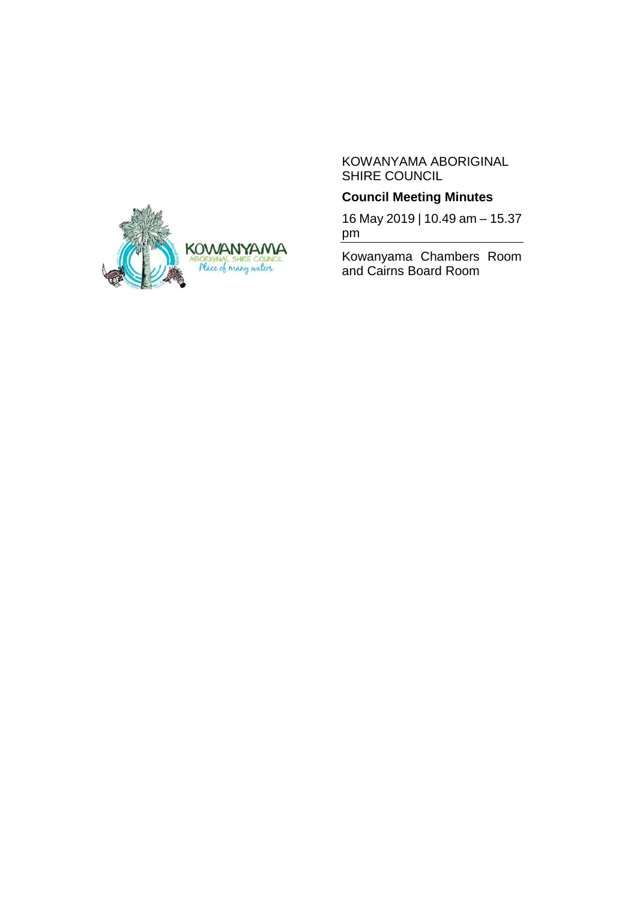#### KOWANYAMA ABORIGINAL SHIRE COUNCIL

# **Council Meeting Minutes**

16 May 2019 | 10.49 am – 15.37 pm

Kowanyama Chambers Room and Cairns Board Room

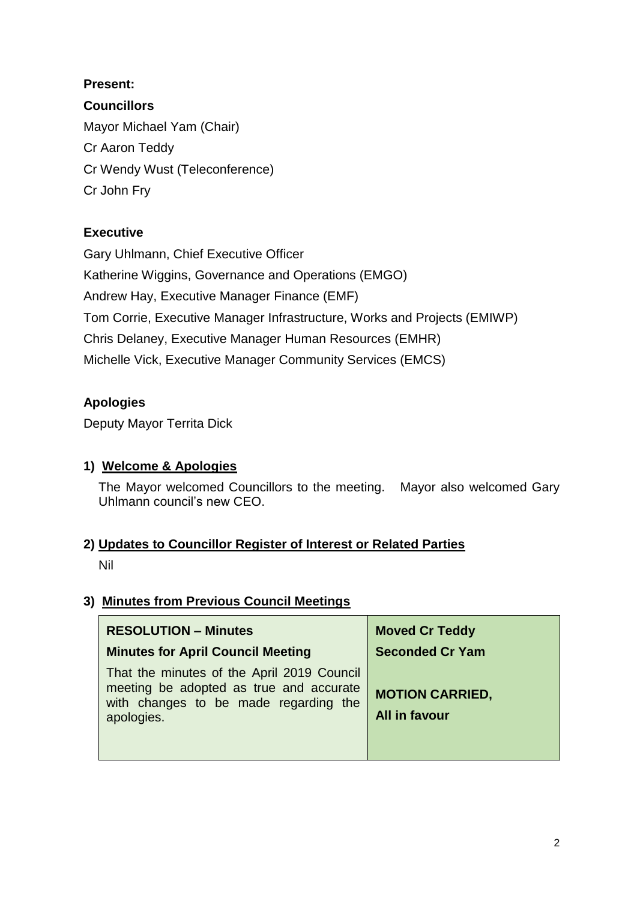## **Present:**

**Councillors**

Mayor Michael Yam (Chair) Cr Aaron Teddy Cr Wendy Wust (Teleconference) Cr John Fry

# **Executive**

Gary Uhlmann, Chief Executive Officer Katherine Wiggins, Governance and Operations (EMGO) Andrew Hay, Executive Manager Finance (EMF) Tom Corrie, Executive Manager Infrastructure, Works and Projects (EMIWP) Chris Delaney, Executive Manager Human Resources (EMHR) Michelle Vick, Executive Manager Community Services (EMCS)

# **Apologies**

Deputy Mayor Territa Dick

# **1) Welcome & Apologies**

The Mayor welcomed Councillors to the meeting. Mayor also welcomed Gary Uhlmann council's new CEO.

# **2) Updates to Councillor Register of Interest or Related Parties**

Nil

# **3) Minutes from Previous Council Meetings**

| <b>RESOLUTION - Minutes</b>                                                                                                                  | <b>Moved Cr Teddy</b>                   |
|----------------------------------------------------------------------------------------------------------------------------------------------|-----------------------------------------|
| <b>Minutes for April Council Meeting</b>                                                                                                     | <b>Seconded Cr Yam</b>                  |
| That the minutes of the April 2019 Council<br>meeting be adopted as true and accurate<br>with changes to be made regarding the<br>apologies. | <b>MOTION CARRIED,</b><br>All in favour |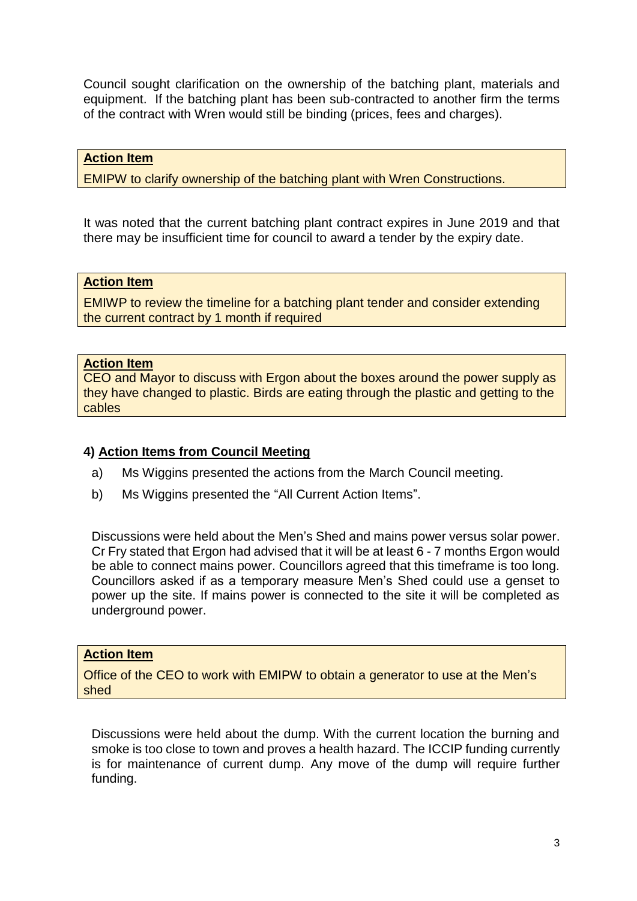Council sought clarification on the ownership of the batching plant, materials and equipment. If the batching plant has been sub-contracted to another firm the terms of the contract with Wren would still be binding (prices, fees and charges).

### **Action Item**

EMIPW to clarify ownership of the batching plant with Wren Constructions.

It was noted that the current batching plant contract expires in June 2019 and that there may be insufficient time for council to award a tender by the expiry date.

#### **Action Item**

EMIWP to review the timeline for a batching plant tender and consider extending the current contract by 1 month if required

#### **Action Item**

CEO and Mayor to discuss with Ergon about the boxes around the power supply as they have changed to plastic. Birds are eating through the plastic and getting to the cables

#### **4) Action Items from Council Meeting**

- a) Ms Wiggins presented the actions from the March Council meeting.
- b) Ms Wiggins presented the "All Current Action Items".

Discussions were held about the Men's Shed and mains power versus solar power. Cr Fry stated that Ergon had advised that it will be at least 6 - 7 months Ergon would be able to connect mains power. Councillors agreed that this timeframe is too long. Councillors asked if as a temporary measure Men's Shed could use a genset to power up the site. If mains power is connected to the site it will be completed as underground power.

#### **Action Item**

Office of the CEO to work with EMIPW to obtain a generator to use at the Men's shed

Discussions were held about the dump. With the current location the burning and smoke is too close to town and proves a health hazard. The ICCIP funding currently is for maintenance of current dump. Any move of the dump will require further funding.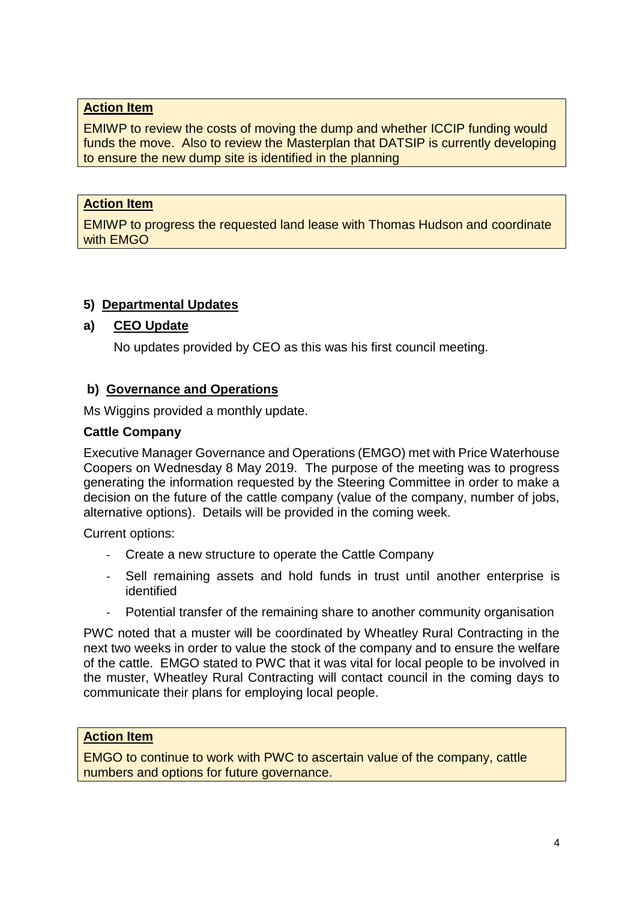### **Action Item**

EMIWP to review the costs of moving the dump and whether ICCIP funding would funds the move. Also to review the Masterplan that DATSIP is currently developing to ensure the new dump site is identified in the planning

### **Action Item**

EMIWP to progress the requested land lease with Thomas Hudson and coordinate with EMGO

## **5) Departmental Updates**

## **a) CEO Update**

No updates provided by CEO as this was his first council meeting.

### **b) Governance and Operations**

Ms Wiggins provided a monthly update.

#### **Cattle Company**

Executive Manager Governance and Operations (EMGO) met with Price Waterhouse Coopers on Wednesday 8 May 2019. The purpose of the meeting was to progress generating the information requested by the Steering Committee in order to make a decision on the future of the cattle company (value of the company, number of jobs, alternative options). Details will be provided in the coming week.

Current options:

- Create a new structure to operate the Cattle Company
- Sell remaining assets and hold funds in trust until another enterprise is identified
- Potential transfer of the remaining share to another community organisation

PWC noted that a muster will be coordinated by Wheatley Rural Contracting in the next two weeks in order to value the stock of the company and to ensure the welfare of the cattle. EMGO stated to PWC that it was vital for local people to be involved in the muster, Wheatley Rural Contracting will contact council in the coming days to communicate their plans for employing local people.

### **Action Item**

EMGO to continue to work with PWC to ascertain value of the company, cattle numbers and options for future governance.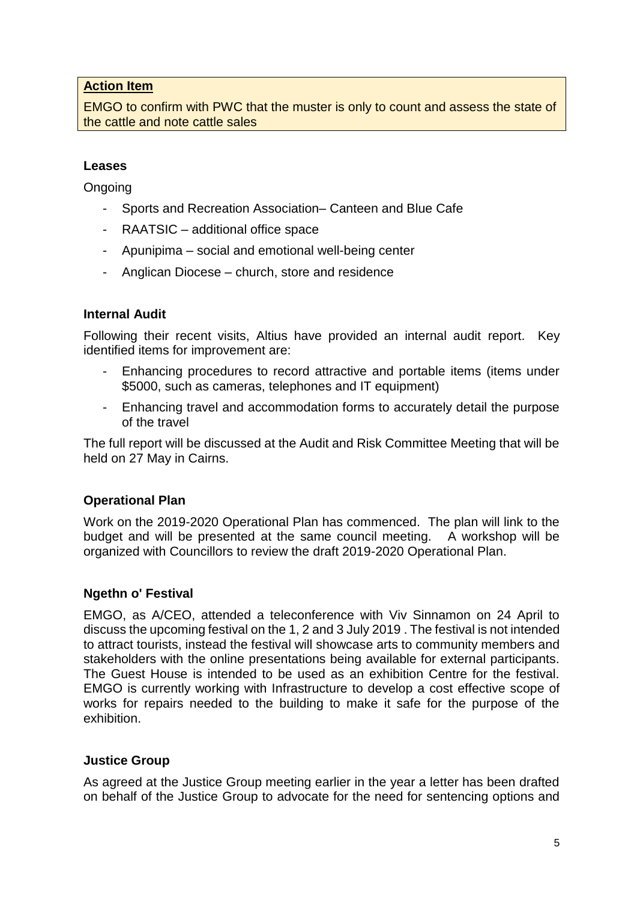### **Action Item**

EMGO to confirm with PWC that the muster is only to count and assess the state of the cattle and note cattle sales

#### **Leases**

**Ongoing** 

- Sports and Recreation Association– Canteen and Blue Cafe
- RAATSIC additional office space
- Apunipima social and emotional well-being center
- Anglican Diocese church, store and residence

### **Internal Audit**

Following their recent visits, Altius have provided an internal audit report. Key identified items for improvement are:

- Enhancing procedures to record attractive and portable items (items under \$5000, such as cameras, telephones and IT equipment)
- Enhancing travel and accommodation forms to accurately detail the purpose of the travel

The full report will be discussed at the Audit and Risk Committee Meeting that will be held on 27 May in Cairns.

## **Operational Plan**

Work on the 2019-2020 Operational Plan has commenced. The plan will link to the budget and will be presented at the same council meeting. A workshop will be organized with Councillors to review the draft 2019-2020 Operational Plan.

#### **Ngethn o' Festival**

EMGO, as A/CEO, attended a teleconference with Viv Sinnamon on 24 April to discuss the upcoming festival on the 1, 2 and 3 July 2019 . The festival is not intended to attract tourists, instead the festival will showcase arts to community members and stakeholders with the online presentations being available for external participants. The Guest House is intended to be used as an exhibition Centre for the festival. EMGO is currently working with Infrastructure to develop a cost effective scope of works for repairs needed to the building to make it safe for the purpose of the exhibition.

#### **Justice Group**

As agreed at the Justice Group meeting earlier in the year a letter has been drafted on behalf of the Justice Group to advocate for the need for sentencing options and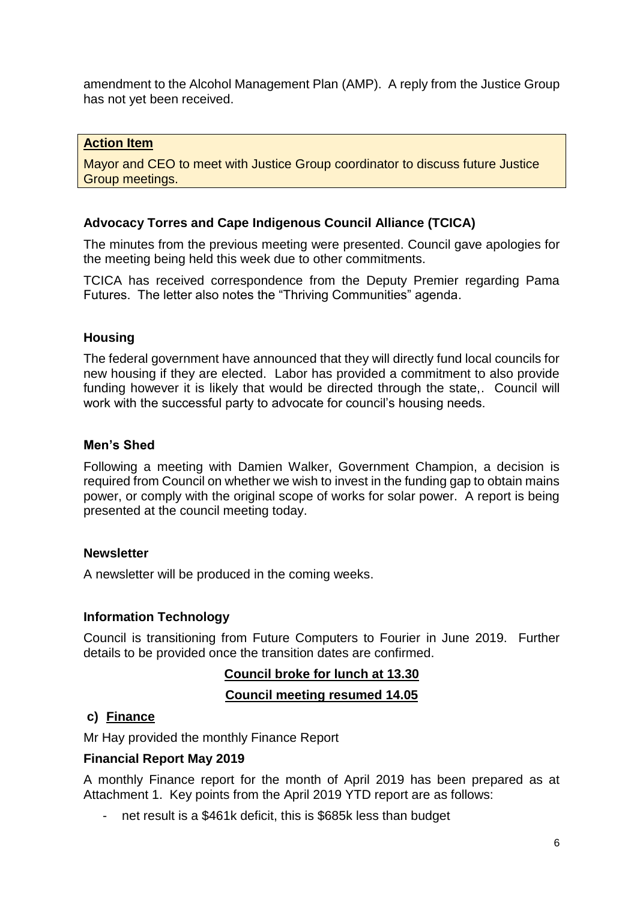amendment to the Alcohol Management Plan (AMP). A reply from the Justice Group has not yet been received.

#### **Action Item**

Mayor and CEO to meet with Justice Group coordinator to discuss future Justice Group meetings.

### **Advocacy Torres and Cape Indigenous Council Alliance (TCICA)**

The minutes from the previous meeting were presented. Council gave apologies for the meeting being held this week due to other commitments.

TCICA has received correspondence from the Deputy Premier regarding Pama Futures. The letter also notes the "Thriving Communities" agenda.

### **Housing**

The federal government have announced that they will directly fund local councils for new housing if they are elected. Labor has provided a commitment to also provide funding however it is likely that would be directed through the state,. Council will work with the successful party to advocate for council's housing needs.

#### **Men's Shed**

Following a meeting with Damien Walker, Government Champion, a decision is required from Council on whether we wish to invest in the funding gap to obtain mains power, or comply with the original scope of works for solar power. A report is being presented at the council meeting today.

#### **Newsletter**

A newsletter will be produced in the coming weeks.

#### **Information Technology**

Council is transitioning from Future Computers to Fourier in June 2019. Further details to be provided once the transition dates are confirmed.

## **Council broke for lunch at 13.30 Council meeting resumed 14.05**

#### **c) Finance**

Mr Hay provided the monthly Finance Report

#### **Financial Report May 2019**

A monthly Finance report for the month of April 2019 has been prepared as at Attachment 1. Key points from the April 2019 YTD report are as follows:

- net result is a \$461k deficit, this is \$685k less than budget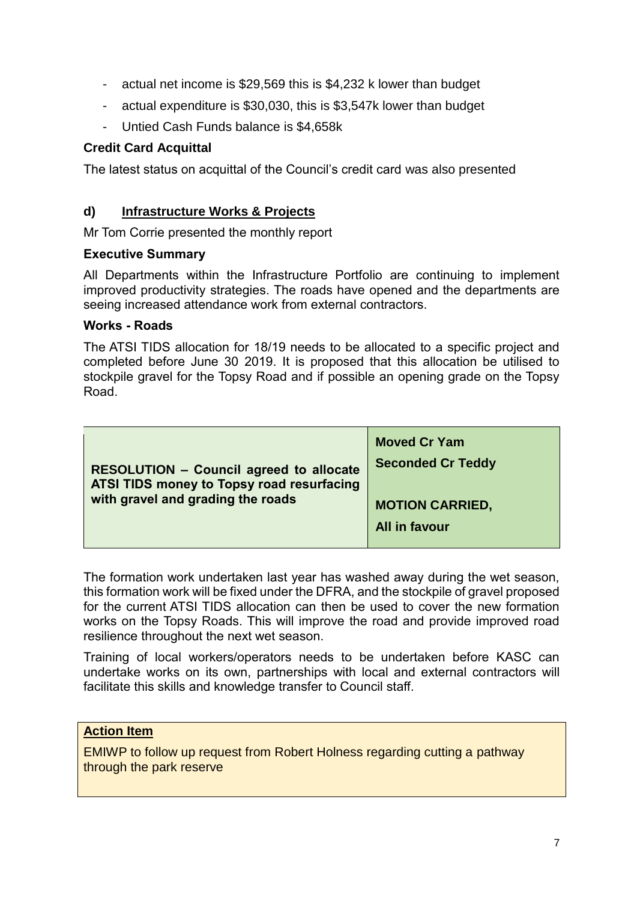- actual net income is \$29,569 this is \$4,232 k lower than budget
- actual expenditure is \$30,030, this is \$3,547k lower than budget
- Untied Cash Funds balance is \$4,658k

### **Credit Card Acquittal**

The latest status on acquittal of the Council's credit card was also presented

### **d) Infrastructure Works & Projects**

Mr Tom Corrie presented the monthly report

#### **Executive Summary**

All Departments within the Infrastructure Portfolio are continuing to implement improved productivity strategies. The roads have opened and the departments are seeing increased attendance work from external contractors.

#### **Works - Roads**

The ATSI TIDS allocation for 18/19 needs to be allocated to a specific project and completed before June 30 2019. It is proposed that this allocation be utilised to stockpile gravel for the Topsy Road and if possible an opening grade on the Topsy Road.

| <b>RESOLUTION - Council agreed to allocate</b><br>ATSI TIDS money to Topsy road resurfacing<br>with gravel and grading the roads | <b>Moved Cr Yam</b><br><b>Seconded Cr Teddy</b> |
|----------------------------------------------------------------------------------------------------------------------------------|-------------------------------------------------|
|                                                                                                                                  | <b>MOTION CARRIED,</b><br>All in favour         |

The formation work undertaken last year has washed away during the wet season, this formation work will be fixed under the DFRA, and the stockpile of gravel proposed for the current ATSI TIDS allocation can then be used to cover the new formation works on the Topsy Roads. This will improve the road and provide improved road resilience throughout the next wet season.

Training of local workers/operators needs to be undertaken before KASC can undertake works on its own, partnerships with local and external contractors will facilitate this skills and knowledge transfer to Council staff.

### **Action Item**

EMIWP to follow up request from Robert Holness regarding cutting a pathway through the park reserve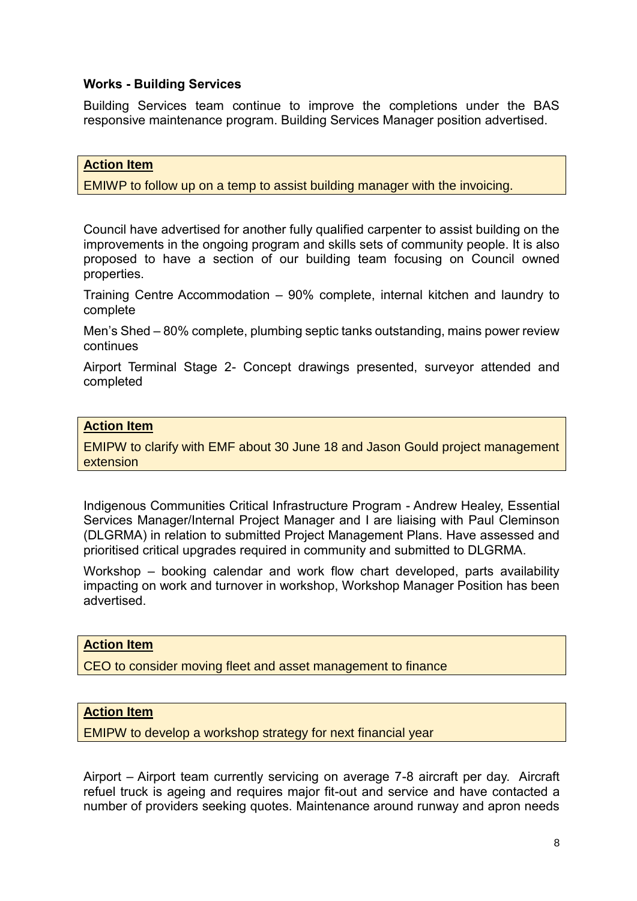#### **Works - Building Services**

Building Services team continue to improve the completions under the BAS responsive maintenance program. Building Services Manager position advertised.

#### **Action Item**

EMIWP to follow up on a temp to assist building manager with the invoicing.

Council have advertised for another fully qualified carpenter to assist building on the improvements in the ongoing program and skills sets of community people. It is also proposed to have a section of our building team focusing on Council owned properties.

Training Centre Accommodation – 90% complete, internal kitchen and laundry to complete

Men's Shed – 80% complete, plumbing septic tanks outstanding, mains power review continues

Airport Terminal Stage 2- Concept drawings presented, surveyor attended and completed

#### **Action Item**

EMIPW to clarify with EMF about 30 June 18 and Jason Gould project management extension

Indigenous Communities Critical Infrastructure Program - Andrew Healey, Essential Services Manager/Internal Project Manager and I are liaising with Paul Cleminson (DLGRMA) in relation to submitted Project Management Plans. Have assessed and prioritised critical upgrades required in community and submitted to DLGRMA.

Workshop – booking calendar and work flow chart developed, parts availability impacting on work and turnover in workshop, Workshop Manager Position has been advertised.

### **Action Item**

CEO to consider moving fleet and asset management to finance

#### **Action Item**

EMIPW to develop a workshop strategy for next financial year

Airport – Airport team currently servicing on average 7-8 aircraft per day. Aircraft refuel truck is ageing and requires major fit-out and service and have contacted a number of providers seeking quotes. Maintenance around runway and apron needs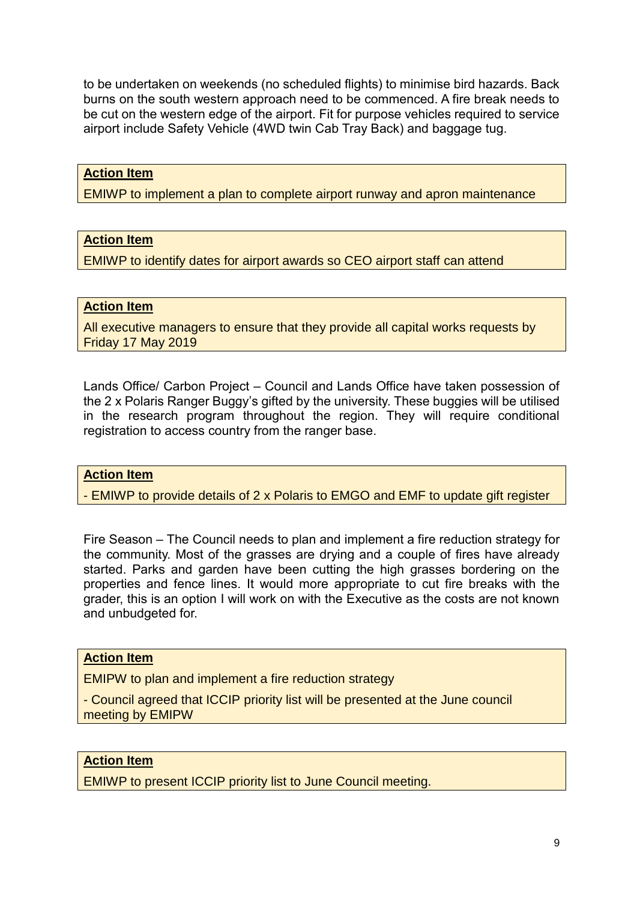to be undertaken on weekends (no scheduled flights) to minimise bird hazards. Back burns on the south western approach need to be commenced. A fire break needs to be cut on the western edge of the airport. Fit for purpose vehicles required to service airport include Safety Vehicle (4WD twin Cab Tray Back) and baggage tug.

#### **Action Item**

EMIWP to implement a plan to complete airport runway and apron maintenance

#### **Action Item**

EMIWP to identify dates for airport awards so CEO airport staff can attend

#### **Action Item**

All executive managers to ensure that they provide all capital works requests by Friday 17 May 2019

Lands Office/ Carbon Project – Council and Lands Office have taken possession of the 2 x Polaris Ranger Buggy's gifted by the university. These buggies will be utilised in the research program throughout the region. They will require conditional registration to access country from the ranger base.

#### **Action Item**

- EMIWP to provide details of 2 x Polaris to EMGO and EMF to update gift register

Fire Season – The Council needs to plan and implement a fire reduction strategy for the community. Most of the grasses are drying and a couple of fires have already started. Parks and garden have been cutting the high grasses bordering on the properties and fence lines. It would more appropriate to cut fire breaks with the grader, this is an option I will work on with the Executive as the costs are not known and unbudgeted for.

#### **Action Item**

EMIPW to plan and implement a fire reduction strategy

- Council agreed that ICCIP priority list will be presented at the June council meeting by EMIPW

#### **Action Item**

EMIWP to present ICCIP priority list to June Council meeting.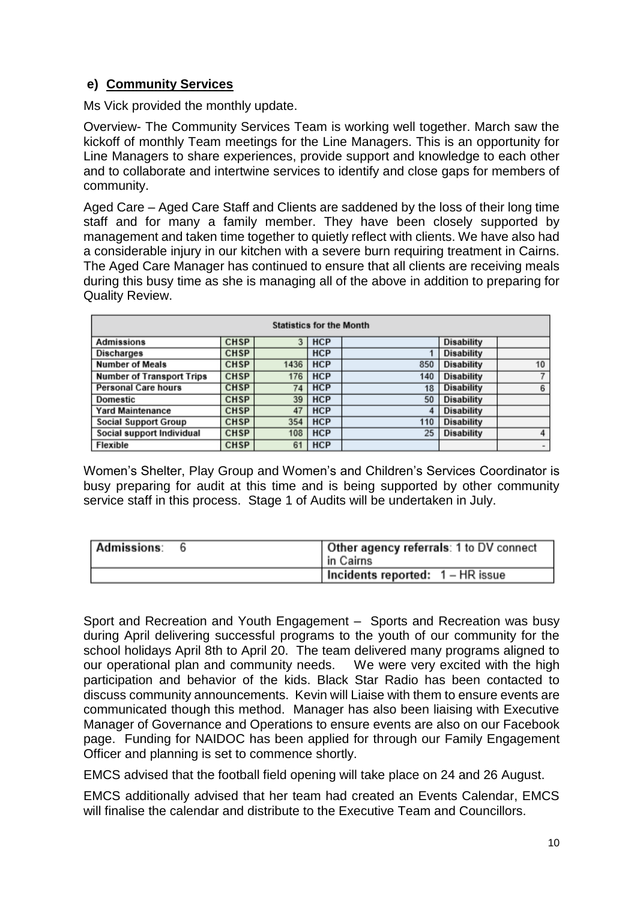## **e) Community Services**

Ms Vick provided the monthly update.

Overview- The Community Services Team is working well together. March saw the kickoff of monthly Team meetings for the Line Managers. This is an opportunity for Line Managers to share experiences, provide support and knowledge to each other and to collaborate and intertwine services to identify and close gaps for members of community.

Aged Care – Aged Care Staff and Clients are saddened by the loss of their long time staff and for many a family member. They have been closely supported by management and taken time together to quietly reflect with clients. We have also had a considerable injury in our kitchen with a severe burn requiring treatment in Cairns. The Aged Care Manager has continued to ensure that all clients are receiving meals during this busy time as she is managing all of the above in addition to preparing for Quality Review.

| <b>Statistics for the Month</b>  |             |      |            |     |                   |                          |
|----------------------------------|-------------|------|------------|-----|-------------------|--------------------------|
| <b>Admissions</b>                | <b>CHSP</b> |      | 3 HCP      |     | <b>Disability</b> |                          |
| <b>Discharges</b>                | <b>CHSP</b> |      | <b>HCP</b> |     | Disability        |                          |
| <b>Number of Meals</b>           | <b>CHSP</b> | 1436 | <b>HCP</b> | 850 | <b>Disability</b> | 10                       |
| <b>Number of Transport Trips</b> | <b>CHSP</b> | 176  | <b>HCP</b> | 140 | <b>Disability</b> |                          |
| <b>Personal Care hours</b>       | <b>CHSP</b> | 74   | <b>HCP</b> | 18  | <b>Disability</b> | 6                        |
| Domestic                         | <b>CHSP</b> | 39   | <b>HCP</b> | 50  | Disability        |                          |
| <b>Yard Maintenance</b>          | <b>CHSP</b> | 47   | <b>HCP</b> | 4   | Disability        |                          |
| <b>Social Support Group</b>      | <b>CHSP</b> | 354  | <b>HCP</b> | 110 | Disability        |                          |
| Social support Individual        | <b>CHSP</b> | 108  | <b>HCP</b> | 25  | Disability        | 4                        |
| <b>Flexible</b>                  | <b>CHSP</b> | 61   | <b>HCP</b> |     |                   | $\overline{\phantom{a}}$ |

Women's Shelter, Play Group and Women's and Children's Services Coordinator is busy preparing for audit at this time and is being supported by other community service staff in this process. Stage 1 of Audits will be undertaken in July.

| <b>Admissions:</b> | Other agency referrals: 1 to DV connect<br>in Cairns |
|--------------------|------------------------------------------------------|
|                    | Incidents reported: 1 - HR issue                     |

Sport and Recreation and Youth Engagement – Sports and Recreation was busy during April delivering successful programs to the youth of our community for the school holidays April 8th to April 20. The team delivered many programs aligned to our operational plan and community needs. We were very excited with the high participation and behavior of the kids. Black Star Radio has been contacted to discuss community announcements. Kevin will Liaise with them to ensure events are communicated though this method. Manager has also been liaising with Executive Manager of Governance and Operations to ensure events are also on our Facebook page. Funding for NAIDOC has been applied for through our Family Engagement Officer and planning is set to commence shortly.

EMCS advised that the football field opening will take place on 24 and 26 August.

EMCS additionally advised that her team had created an Events Calendar, EMCS will finalise the calendar and distribute to the Executive Team and Councillors.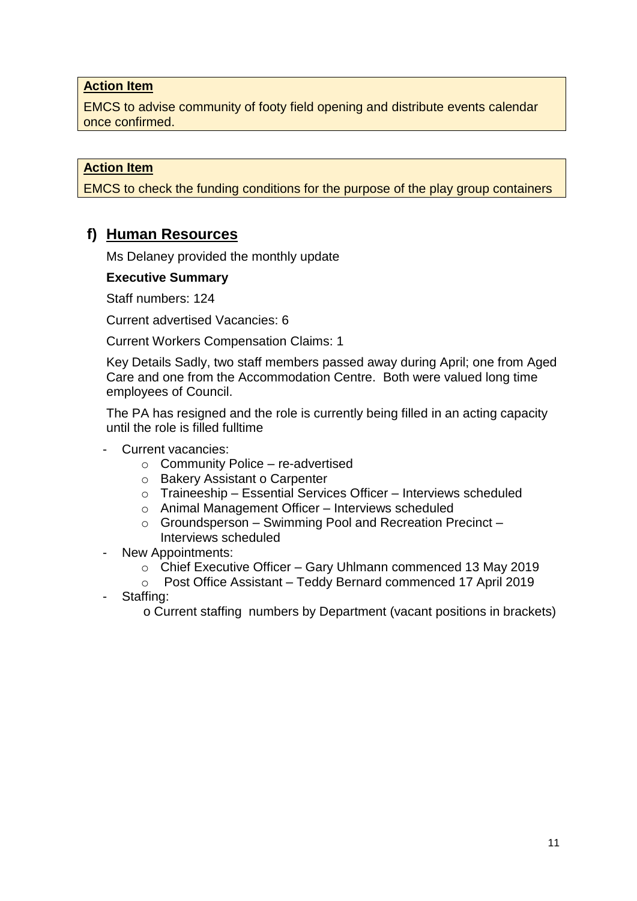#### **Action Item**

EMCS to advise community of footy field opening and distribute events calendar once confirmed.

### **Action Item**

EMCS to check the funding conditions for the purpose of the play group containers

## **f) Human Resources**

Ms Delaney provided the monthly update

#### **Executive Summary**

Staff numbers: 124

Current advertised Vacancies: 6

Current Workers Compensation Claims: 1

Key Details Sadly, two staff members passed away during April; one from Aged Care and one from the Accommodation Centre. Both were valued long time employees of Council.

The PA has resigned and the role is currently being filled in an acting capacity until the role is filled fulltime

- Current vacancies:
	- $\circ$  Community Police re-advertised
	- o Bakery Assistant o Carpenter
	- $\circ$  Traineeship Essential Services Officer Interviews scheduled
	- o Animal Management Officer Interviews scheduled
	- $\circ$  Groundsperson Swimming Pool and Recreation Precinct Interviews scheduled
- New Appointments:
	- o Chief Executive Officer Gary Uhlmann commenced 13 May 2019
	- o Post Office Assistant Teddy Bernard commenced 17 April 2019
- Staffing:

o Current staffing numbers by Department (vacant positions in brackets)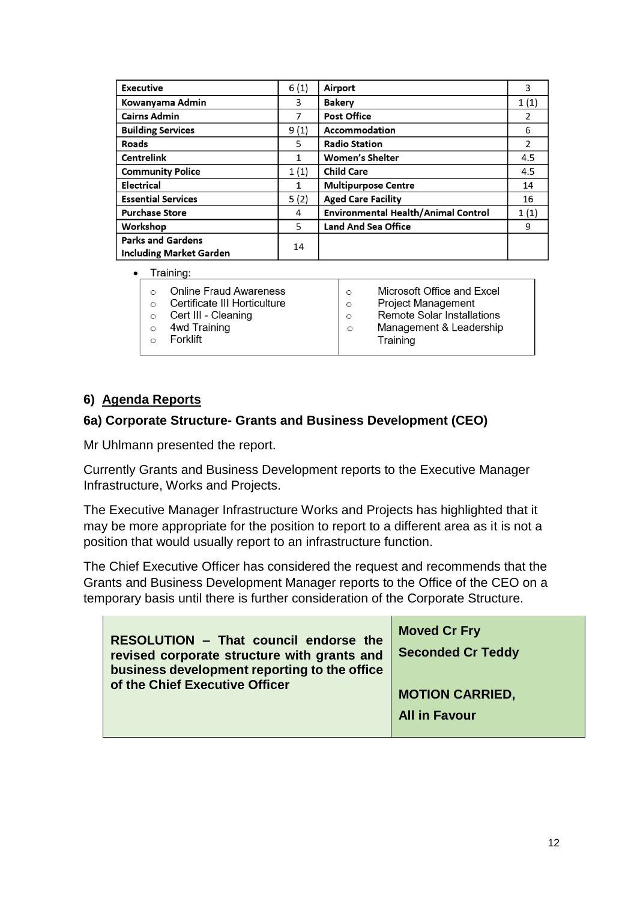| <b>Executive</b>                                           | 6(1) | Airport                             | 3    |
|------------------------------------------------------------|------|-------------------------------------|------|
| Kowanyama Admin                                            | 3    | <b>Bakery</b>                       | 1(1) |
| <b>Cairns Admin</b>                                        | 7    | <b>Post Office</b>                  | 2    |
| <b>Building Services</b>                                   | 9(1) | Accommodation                       | 6    |
| Roads                                                      | 5    | <b>Radio Station</b>                | 2    |
| <b>Centrelink</b>                                          | 1    | <b>Women's Shelter</b>              | 4.5  |
| <b>Community Police</b>                                    | 1(1) | <b>Child Care</b>                   | 4.5  |
| Electrical                                                 | 1    | <b>Multipurpose Centre</b>          | 14   |
| <b>Essential Services</b>                                  | 5(2) | <b>Aged Care Facility</b>           | 16   |
| <b>Purchase Store</b>                                      | 4    | Environmental Health/Animal Control | 1(1) |
| Workshop                                                   | 5    | <b>Land And Sea Office</b>          | 9    |
| <b>Parks and Gardens</b><br><b>Including Market Garden</b> | 14   |                                     |      |
|                                                            |      |                                     |      |

Training:

| <b>Online Fraud Awareness</b><br>Certificate III Horticulture<br>Cert III - Cleaning<br>4wd Training<br>Forklift | Microsoft Office and Excel<br>$\circ$<br><b>Project Management</b><br>$\circ$<br><b>Remote Solar Installations</b><br>$\circ$<br>Management & Leadership<br>$\circ$<br>Training |
|------------------------------------------------------------------------------------------------------------------|---------------------------------------------------------------------------------------------------------------------------------------------------------------------------------|
|------------------------------------------------------------------------------------------------------------------|---------------------------------------------------------------------------------------------------------------------------------------------------------------------------------|

## **6) Agenda Reports**

### **6a) Corporate Structure- Grants and Business Development (CEO)**

Mr Uhlmann presented the report.

Currently Grants and Business Development reports to the Executive Manager Infrastructure, Works and Projects.

The Executive Manager Infrastructure Works and Projects has highlighted that it may be more appropriate for the position to report to a different area as it is not a position that would usually report to an infrastructure function.

The Chief Executive Officer has considered the request and recommends that the Grants and Business Development Manager reports to the Office of the CEO on a temporary basis until there is further consideration of the Corporate Structure.

| RESOLUTION - That council endorse the<br>revised corporate structure with grants and<br>business development reporting to the office<br>of the Chief Executive Officer | <b>Moved Cr Fry</b><br><b>Seconded Cr Teddy</b> |
|------------------------------------------------------------------------------------------------------------------------------------------------------------------------|-------------------------------------------------|
|                                                                                                                                                                        | <b>MOTION CARRIED,</b>                          |
|                                                                                                                                                                        | <b>All in Favour</b>                            |